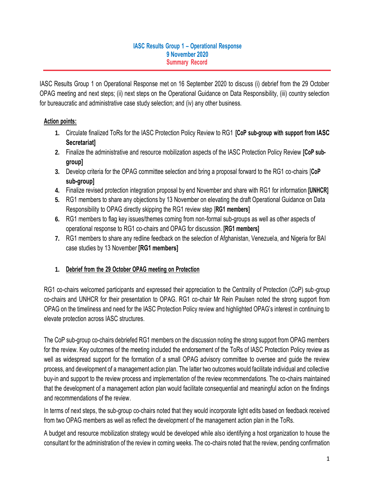### **IASC Results Group 1 – Operational Response 9 November 2020 Summary Record**

IASC Results Group 1 on Operational Response met on 16 September 2020 to discuss (i) debrief from the 29 October OPAG meeting and next steps; (ii) next steps on the Operational Guidance on Data Responsibility, (iii) country selection for bureaucratic and administrative case study selection; and (iv) any other business.

# **Action points:**

- **1.** Circulate finalized ToRs for the IASC Protection Policy Review to RG1 **[CoP sub-group with support from IASC Secretariat]**
- **2.** Finalize the administrative and resource mobilization aspects of the IASC Protection Policy Review **[CoP subgroup]**
- **3.** Develop criteria for the OPAG committee selection and bring a proposal forward to the RG1 co-chairs [**CoP sub-group]**
- **4.** Finalize revised protection integration proposal by end November and share with RG1 for information **[UNHCR]**
- **5.** RG1 members to share any objections by 13 November on elevating the draft Operational Guidance on Data Responsibility to OPAG directly skipping the RG1 review step [**RG1 members]**
- **6.** RG1 members to flag key issues/themes coming from non-formal sub-groups as well as other aspects of operational response to RG1 co-chairs and OPAG for discussion. **[RG1 members]**
- **7.** RG1 members to share any redline feedback on the selection of Afghanistan, Venezuela, and Nigeria for BAI case studies by 13 November **[RG1 members]**

# **1. Debrief from the 29 October OPAG meeting on Protection**

RG1 co-chairs welcomed participants and expressed their appreciation to the Centrality of Protection (CoP) sub-group co-chairs and UNHCR for their presentation to OPAG. RG1 co-chair Mr Rein Paulsen noted the strong support from OPAG on the timeliness and need for the IASC Protection Policy review and highlighted OPAG's interest in continuing to elevate protection across IASC structures.

The CoP sub-group co-chairs debriefed RG1 members on the discussion noting the strong support from OPAG members for the review. Key outcomes of the meeting included the endorsement of the ToRs of IASC Protection Policy review as well as widespread support for the formation of a small OPAG advisory committee to oversee and guide the review process, and development of a management action plan. The latter two outcomes would facilitate individual and collective buy-in and support to the review process and implementation of the review recommendations. The co-chairs maintained that the development of a management action plan would facilitate consequential and meaningful action on the findings and recommendations of the review.

In terms of next steps, the sub-group co-chairs noted that they would incorporate light edits based on feedback received from two OPAG members as well as reflect the development of the management action plan in the ToRs.

A budget and resource mobilization strategy would be developed while also identifying a host organization to house the consultant for the administration of the review in coming weeks. The co-chairs noted that the review, pending confirmation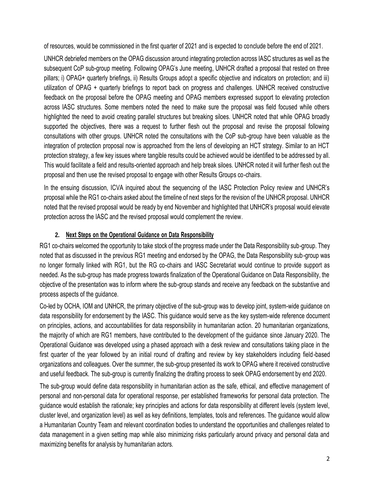of resources, would be commissioned in the first quarter of 2021 and is expected to conclude before the end of 2021.

UNHCR debriefed members on the OPAG discussion around integrating protection across IASC structures as well as the subsequent CoP sub-group meeting. Following OPAG's June meeting, UNHCR drafted a proposal that rested on three pillars; i) OPAG+ quarterly briefings, ii) Results Groups adopt a specific objective and indicators on protection; and iii) utilization of OPAG + quarterly briefings to report back on progress and challenges. UNHCR received constructive feedback on the proposal before the OPAG meeting and OPAG members expressed support to elevating protection across IASC structures. Some members noted the need to make sure the proposal was field focused while others highlighted the need to avoid creating parallel structures but breaking siloes. UNHCR noted that while OPAG broadly supported the objectives, there was a request to further flesh out the proposal and revise the proposal following consultations with other groups. UNHCR noted the consultations with the CoP sub-group have been valuable as the integration of protection proposal now is approached from the lens of developing an HCT strategy. Similar to an HCT protection strategy, a few key issues where tangible results could be achieved would be identified to be addressed by all. This would facilitate a field and results-oriented approach and help break siloes. UNHCR noted it will further flesh out the proposal and then use the revised proposal to engage with other Results Groups co-chairs.

In the ensuing discussion, ICVA inquired about the sequencing of the IASC Protection Policy review and UNHCR's proposal while the RG1 co-chairs asked about the timeline of next steps for the revision of the UNHCR proposal. UNHCR noted that the revised proposal would be ready by end November and highlighted that UNHCR's proposal would elevate protection across the IASC and the revised proposal would complement the review.

# **2. Next Steps on the Operational Guidance on Data Responsibility**

RG1 co-chairs welcomed the opportunity to take stock of the progress made under the Data Responsibility sub-group. They noted that as discussed in the previous RG1 meeting and endorsed by the OPAG, the Data Responsibility sub-group was no longer formally linked with RG1, but the RG co-chairs and IASC Secretariat would continue to provide support as needed. As the sub-group has made progress towards finalization of the Operational Guidance on Data Responsibility, the objective of the presentation was to inform where the sub-group stands and receive any feedback on the substantive and process aspects of the guidance.

Co-led by OCHA, IOM and UNHCR, the primary objective of the sub-group was to develop joint, system-wide guidance on data responsibility for endorsement by the IASC. This guidance would serve as the key system-wide reference document on principles, actions, and accountabilities for data responsibility in humanitarian action. 20 humanitarian organizations, the majority of which are RG1 members, have contributed to the development of the guidance since January 2020. The Operational Guidance was developed using a phased approach with a desk review and consultations taking place in the first quarter of the year followed by an initial round of drafting and review by key stakeholders including field-based organizations and colleagues. Over the summer, the sub-group presented its work to OPAG where it received constructive and useful feedback. The sub-group is currently finalizing the drafting process to seek OPAG endorsement by end 2020.

The sub-group would define data responsibility in humanitarian action as the safe, ethical, and effective management of personal and non-personal data for operational response, per established frameworks for personal data protection. The guidance would establish the rationale; key principles and actions for data responsibility at different levels (system level, cluster level, and organization level) as well as key definitions, templates, tools and references. The guidance would allow a Humanitarian Country Team and relevant coordination bodies to understand the opportunities and challenges related to data management in a given setting map while also minimizing risks particularly around privacy and personal data and maximizing benefits for analysis by humanitarian actors.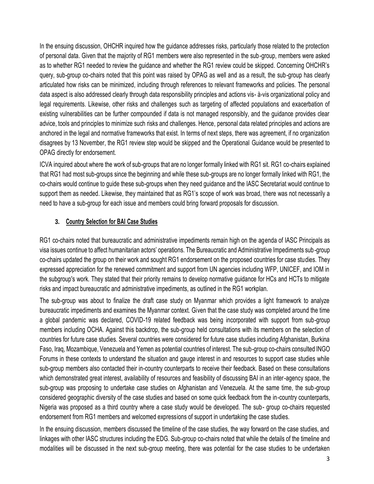In the ensuing discussion, OHCHR inquired how the guidance addresses risks, particularly those related to the protection of personal data. Given that the majority of RG1 members were also represented in the sub-group, members were asked as to whether RG1 needed to review the guidance and whether the RG1 review could be skipped. Concerning OHCHR's query, sub-group co-chairs noted that this point was raised by OPAG as well and as a result, the sub-group has clearly articulated how risks can be minimized, including through references to relevant frameworks and policies. The personal data aspect is also addressed clearly through data responsibility principles and actions vis- à-vis organizational policy and legal requirements. Likewise, other risks and challenges such as targeting of affected populations and exacerbation of existing vulnerabilities can be further compounded if data is not managed responsibly, and the guidance provides clear advice, tools and principles to minimize such risks and challenges. Hence, personal data related principles and actions are anchored in the legal and normative frameworks that exist. In terms of next steps, there was agreement, if no organization disagrees by 13 November, the RG1 review step would be skipped and the Operational Guidance would be presented to OPAG directly for endorsement.

ICVA inquired about where the work of sub-groups that are no longer formally linked with RG1 sit. RG1 co-chairs explained that RG1 had most sub-groups since the beginning and while these sub-groups are no longer formally linked with RG1, the co-chairs would continue to guide these sub-groups when they need guidance and the IASC Secretariat would continue to support them as needed. Likewise, they maintained that as RG1's scope of work was broad, there was not necessarily a need to have a sub-group for each issue and members could bring forward proposals for discussion.

# **3. Country Selection for BAI Case Studies**

RG1 co-chairs noted that bureaucratic and administrative impediments remain high on the agenda of IASC Principals as visa issues continue to affect humanitarian actors' operations. The Bureaucratic and Administrative Impediments sub-group co-chairs updated the group on their work and sought RG1 endorsement on the proposed countries for case studies. They expressed appreciation for the renewed commitment and support from UN agencies including WFP, UNICEF, and IOM in the subgroup's work. They stated that their priority remains to develop normative guidance for HCs and HCTs to mitigate risks and impact bureaucratic and administrative impediments, as outlined in the RG1 workplan.

The sub-group was about to finalize the draft case study on Myanmar which provides a light framework to analyze bureaucratic impediments and examines the Myanmar context. Given that the case study was completed around the time a global pandemic was declared, COVID-19 related feedback was being incorporated with support from sub-group members including OCHA. Against this backdrop, the sub-group held consultations with its members on the selection of countries for future case studies. Several countries were considered for future case studies including Afghanistan, Burkina Faso, Iraq, Mozambique, Venezuela and Yemen as potential countries of interest. The sub-group co-chairs consulted INGO Forums in these contexts to understand the situation and gauge interest in and resources to support case studies while sub-group members also contacted their in-country counterparts to receive their feedback. Based on these consultations which demonstrated great interest, availability of resources and feasibility of discussing BAI in an inter-agency space, the sub-group was proposing to undertake case studies on Afghanistan and Venezuela. At the same time, the sub-group considered geographic diversity of the case studies and based on some quick feedback from the in-country counterparts, Nigeria was proposed as a third country where a case study would be developed. The sub- group co-chairs requested endorsement from RG1 members and welcomed expressions of support in undertaking the case studies.

In the ensuing discussion, members discussed the timeline of the case studies, the way forward on the case studies, and linkages with other IASC structures including the EDG. Sub-group co-chairs noted that while the details of the timeline and modalities will be discussed in the next sub-group meeting, there was potential for the case studies to be undertaken